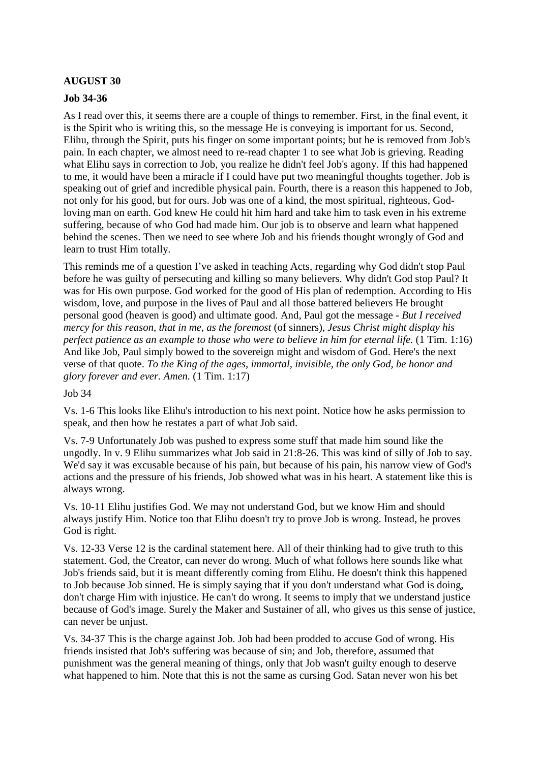## **AUGUST 30**

#### **Job 34-36**

As I read over this, it seems there are a couple of things to remember. First, in the final event, it is the Spirit who is writing this, so the message He is conveying is important for us. Second, Elihu, through the Spirit, puts his finger on some important points; but he is removed from Job's pain. In each chapter, we almost need to re-read chapter 1 to see what Job is grieving. Reading what Elihu says in correction to Job, you realize he didn't feel Job's agony. If this had happened to me, it would have been a miracle if I could have put two meaningful thoughts together. Job is speaking out of grief and incredible physical pain. Fourth, there is a reason this happened to Job, not only for his good, but for ours. Job was one of a kind, the most spiritual, righteous, Godloving man on earth. God knew He could hit him hard and take him to task even in his extreme suffering, because of who God had made him. Our job is to observe and learn what happened behind the scenes. Then we need to see where Job and his friends thought wrongly of God and learn to trust Him totally.

This reminds me of a question I've asked in teaching Acts, regarding why God didn't stop Paul before he was guilty of persecuting and killing so many believers. Why didn't God stop Paul? It was for His own purpose. God worked for the good of His plan of redemption. According to His wisdom, love, and purpose in the lives of Paul and all those battered believers He brought personal good (heaven is good) and ultimate good. And, Paul got the message - *But I received mercy for this reason, that in me, as the foremost* (of sinners)*, Jesus Christ might display his perfect patience as an example to those who were to believe in him for eternal life.* (1 Tim. 1:16) And like Job, Paul simply bowed to the sovereign might and wisdom of God. Here's the next verse of that quote. *To the King of the ages, immortal, invisible, the only God, be honor and glory forever and ever. Amen.* (1 Tim. 1:17)

#### Job 34

Vs. 1-6 This looks like Elihu's introduction to his next point. Notice how he asks permission to speak, and then how he restates a part of what Job said.

Vs. 7-9 Unfortunately Job was pushed to express some stuff that made him sound like the ungodly. In v. 9 Elihu summarizes what Job said in 21:8-26. This was kind of silly of Job to say. We'd say it was excusable because of his pain, but because of his pain, his narrow view of God's actions and the pressure of his friends, Job showed what was in his heart. A statement like this is always wrong.

Vs. 10-11 Elihu justifies God. We may not understand God, but we know Him and should always justify Him. Notice too that Elihu doesn't try to prove Job is wrong. Instead, he proves God is right.

Vs. 12-33 Verse 12 is the cardinal statement here. All of their thinking had to give truth to this statement. God, the Creator, can never do wrong. Much of what follows here sounds like what Job's friends said, but it is meant differently coming from Elihu. He doesn't think this happened to Job because Job sinned. He is simply saying that if you don't understand what God is doing, don't charge Him with injustice. He can't do wrong. It seems to imply that we understand justice because of God's image. Surely the Maker and Sustainer of all, who gives us this sense of justice, can never be unjust.

Vs. 34-37 This is the charge against Job. Job had been prodded to accuse God of wrong. His friends insisted that Job's suffering was because of sin; and Job, therefore, assumed that punishment was the general meaning of things, only that Job wasn't guilty enough to deserve what happened to him. Note that this is not the same as cursing God. Satan never won his bet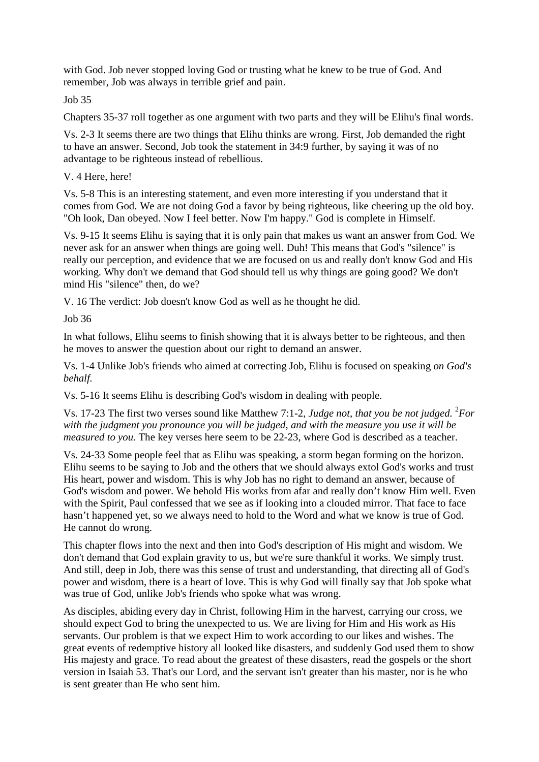with God. Job never stopped loving God or trusting what he knew to be true of God. And remember, Job was always in terrible grief and pain.

Job 35

Chapters 35-37 roll together as one argument with two parts and they will be Elihu's final words.

Vs. 2-3 It seems there are two things that Elihu thinks are wrong. First, Job demanded the right to have an answer. Second, Job took the statement in 34:9 further, by saying it was of no advantage to be righteous instead of rebellious.

# V. 4 Here, here!

Vs. 5-8 This is an interesting statement, and even more interesting if you understand that it comes from God. We are not doing God a favor by being righteous, like cheering up the old boy. "Oh look, Dan obeyed. Now I feel better. Now I'm happy." God is complete in Himself.

Vs. 9-15 It seems Elihu is saying that it is only pain that makes us want an answer from God. We never ask for an answer when things are going well. Duh! This means that God's "silence" is really our perception, and evidence that we are focused on us and really don't know God and His working. Why don't we demand that God should tell us why things are going good? We don't mind His "silence" then, do we?

V. 16 The verdict: Job doesn't know God as well as he thought he did.

Job 36

In what follows, Elihu seems to finish showing that it is always better to be righteous, and then he moves to answer the question about our right to demand an answer.

Vs. 1-4 Unlike Job's friends who aimed at correcting Job, Elihu is focused on speaking *on God's behalf.* 

Vs. 5-16 It seems Elihu is describing God's wisdom in dealing with people.

Vs. 17-23 The first two verses sound like Matthew 7:1-2, *Judge not, that you be not judged.* <sup>2</sup>For *with the judgment you pronounce you will be judged, and with the measure you use it will be measured to you.* The key verses here seem to be 22-23, where God is described as a teacher.

Vs. 24-33 Some people feel that as Elihu was speaking, a storm began forming on the horizon. Elihu seems to be saying to Job and the others that we should always extol God's works and trust His heart, power and wisdom. This is why Job has no right to demand an answer, because of God's wisdom and power. We behold His works from afar and really don't know Him well. Even with the Spirit, Paul confessed that we see as if looking into a clouded mirror. That face to face hasn't happened yet, so we always need to hold to the Word and what we know is true of God. He cannot do wrong.

This chapter flows into the next and then into God's description of His might and wisdom. We don't demand that God explain gravity to us, but we're sure thankful it works. We simply trust. And still, deep in Job, there was this sense of trust and understanding, that directing all of God's power and wisdom, there is a heart of love. This is why God will finally say that Job spoke what was true of God, unlike Job's friends who spoke what was wrong.

As disciples, abiding every day in Christ, following Him in the harvest, carrying our cross, we should expect God to bring the unexpected to us. We are living for Him and His work as His servants. Our problem is that we expect Him to work according to our likes and wishes. The great events of redemptive history all looked like disasters, and suddenly God used them to show His majesty and grace. To read about the greatest of these disasters, read the gospels or the short version in Isaiah 53. That's our Lord, and the servant isn't greater than his master, nor is he who is sent greater than He who sent him.